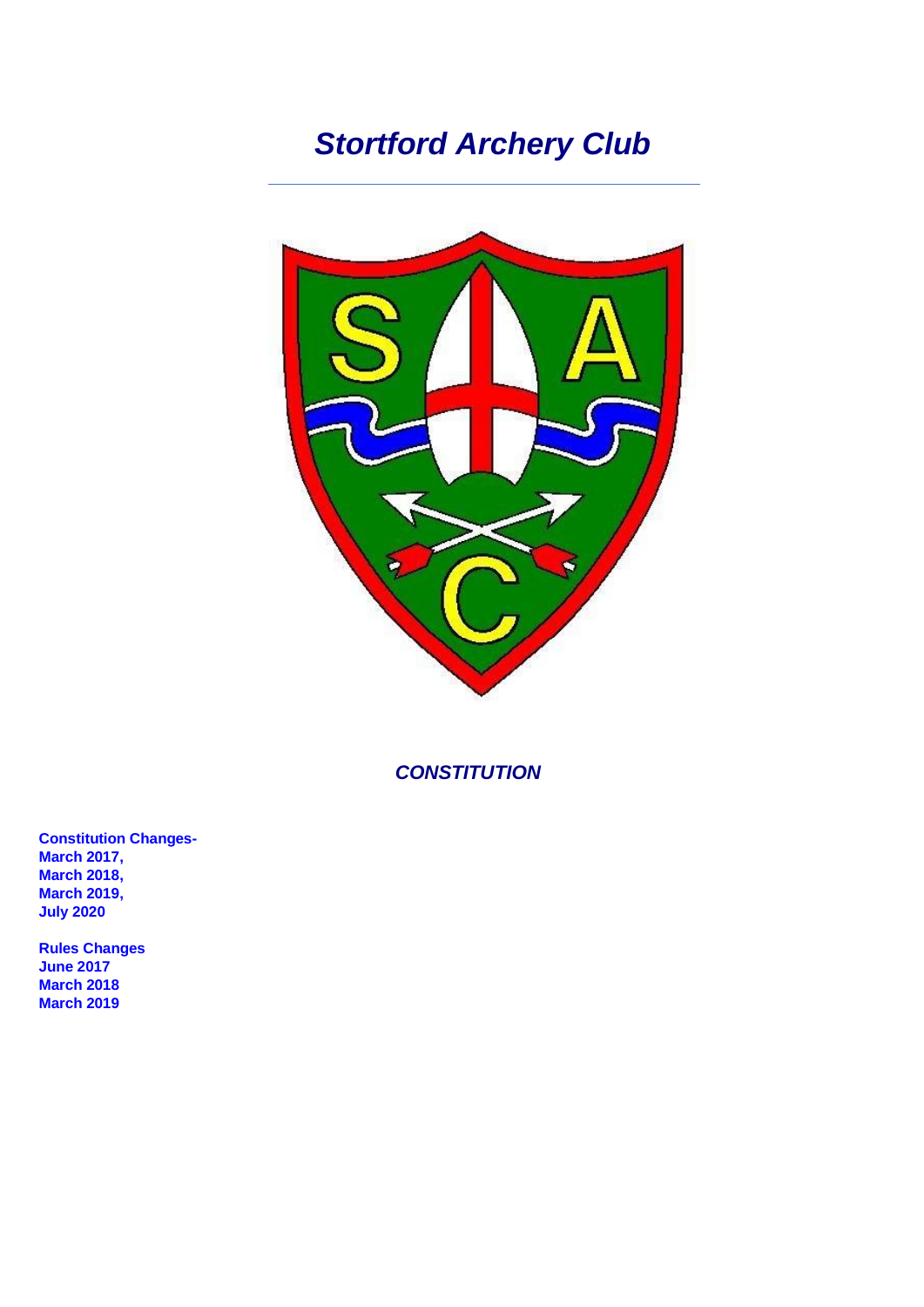# *Stortford Archery Club*



*CONSTITUTION*

**Constitution Changes-March 2017, March 2018, March 2019, July 2020**

**Rules Changes June 2017 March 2018 March 2019**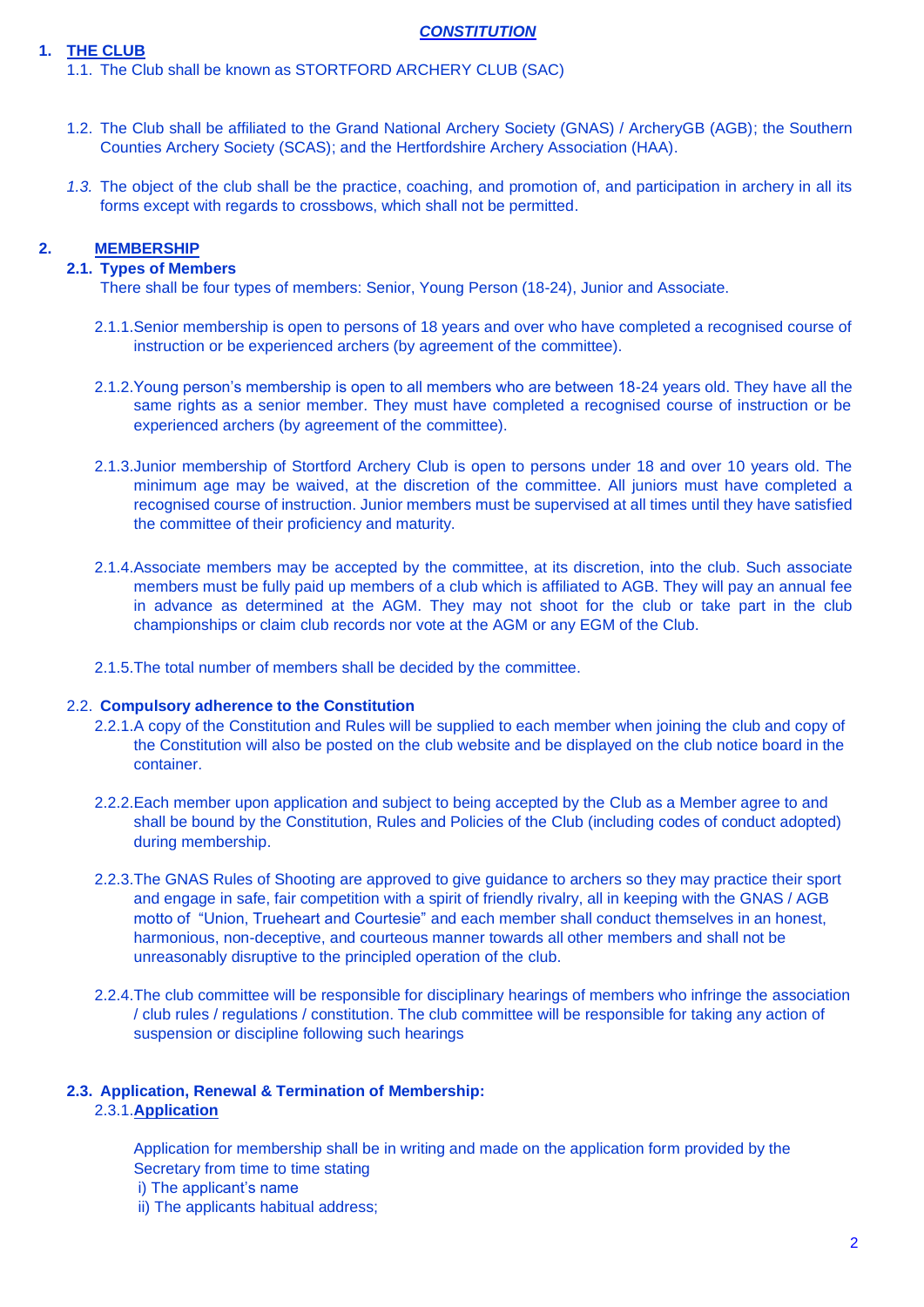#### **1. THE CLUB**

#### *CONSTITUTION*

1.1. The Club shall be known as STORTFORD ARCHERY CLUB (SAC)

- 1.2. The Club shall be affiliated to the Grand National Archery Society (GNAS) / ArcheryGB (AGB); the Southern Counties Archery Society (SCAS); and the Hertfordshire Archery Association (HAA).
- *1.3.* The object of the club shall be the practice, coaching, and promotion of, and participation in archery in all its forms except with regards to crossbows, which shall not be permitted.

## **2. MEMBERSHIP**

# **2.1. Types of Members**

There shall be four types of members: Senior, Young Person (18-24), Junior and Associate.

- 2.1.1.Senior membership is open to persons of 18 years and over who have completed a recognised course of instruction or be experienced archers (by agreement of the committee).
- 2.1.2.Young person's membership is open to all members who are between 18-24 years old. They have all the same rights as a senior member. They must have completed a recognised course of instruction or be experienced archers (by agreement of the committee).
- 2.1.3.Junior membership of Stortford Archery Club is open to persons under 18 and over 10 years old. The minimum age may be waived, at the discretion of the committee. All juniors must have completed a recognised course of instruction. Junior members must be supervised at all times until they have satisfied the committee of their proficiency and maturity.
- 2.1.4.Associate members may be accepted by the committee, at its discretion, into the club. Such associate members must be fully paid up members of a club which is affiliated to AGB. They will pay an annual fee in advance as determined at the AGM. They may not shoot for the club or take part in the club championships or claim club records nor vote at the AGM or any EGM of the Club.
- 2.1.5.The total number of members shall be decided by the committee.

#### 2.2. **Compulsory adherence to the Constitution**

- 2.2.1.A copy of the Constitution and Rules will be supplied to each member when joining the club and copy of the Constitution will also be posted on the club website and be displayed on the club notice board in the container.
- 2.2.2.Each member upon application and subject to being accepted by the Club as a Member agree to and shall be bound by the Constitution, Rules and Policies of the Club (including codes of conduct adopted) during membership.
- 2.2.3.The GNAS Rules of Shooting are approved to give guidance to archers so they may practice their sport and engage in safe, fair competition with a spirit of friendly rivalry, all in keeping with the GNAS / AGB motto of "Union, Trueheart and Courtesie" and each member shall conduct themselves in an honest, harmonious, non-deceptive, and courteous manner towards all other members and shall not be unreasonably disruptive to the principled operation of the club.
- 2.2.4.The club committee will be responsible for disciplinary hearings of members who infringe the association / club rules / regulations / constitution. The club committee will be responsible for taking any action of suspension or discipline following such hearings

#### **2.3. Application, Renewal & Termination of Membership:**

2.3.1.**Application**

Application for membership shall be in writing and made on the application form provided by the Secretary from time to time stating

- i) The applicant's name
- ii) The applicants habitual address;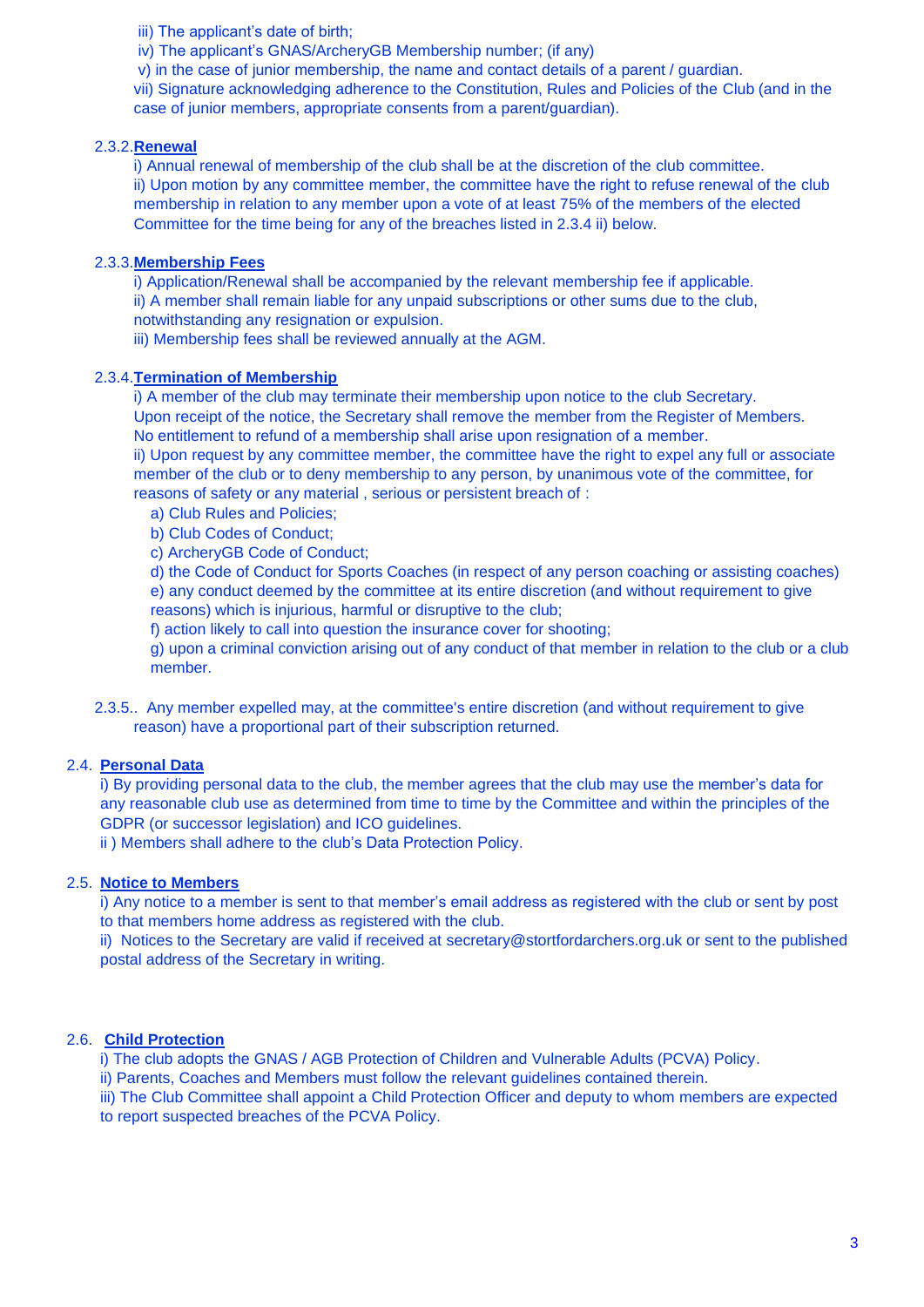iii) The applicant's date of birth:

iv) The applicant's GNAS/ArcheryGB Membership number; (if any)

v) in the case of junior membership, the name and contact details of a parent / guardian.

vii) Signature acknowledging adherence to the Constitution, Rules and Policies of the Club (and in the case of junior members, appropriate consents from a parent/guardian).

#### 2.3.2.**Renewal**

i) Annual renewal of membership of the club shall be at the discretion of the club committee. ii) Upon motion by any committee member, the committee have the right to refuse renewal of the club membership in relation to any member upon a vote of at least 75% of the members of the elected Committee for the time being for any of the breaches listed in 2.3.4 ii) below.

## 2.3.3.**Membership Fees**

i) Application/Renewal shall be accompanied by the relevant membership fee if applicable. ii) A member shall remain liable for any unpaid subscriptions or other sums due to the club,

notwithstanding any resignation or expulsion.

iii) Membership fees shall be reviewed annually at the AGM.

#### 2.3.4.**Termination of Membership**

i) A member of the club may terminate their membership upon notice to the club Secretary. Upon receipt of the notice, the Secretary shall remove the member from the Register of Members. No entitlement to refund of a membership shall arise upon resignation of a member.

ii) Upon request by any committee member, the committee have the right to expel any full or associate member of the club or to deny membership to any person, by unanimous vote of the committee, for reasons of safety or any material , serious or persistent breach of :

- a) Club Rules and Policies;
- b) Club Codes of Conduct;

c) ArcheryGB Code of Conduct;

d) the Code of Conduct for Sports Coaches (in respect of any person coaching or assisting coaches) e) any conduct deemed by the committee at its entire discretion (and without requirement to give reasons) which is injurious, harmful or disruptive to the club;

f) action likely to call into question the insurance cover for shooting;

g) upon a criminal conviction arising out of any conduct of that member in relation to the club or a club member.

2.3.5.. Any member expelled may, at the committee's entire discretion (and without requirement to give reason) have a proportional part of their subscription returned.

# 2.4. **Personal Data**

i) By providing personal data to the club, the member agrees that the club may use the member's data for any reasonable club use as determined from time to time by the Committee and within the principles of the GDPR (or successor legislation) and ICO guidelines.

ii ) Members shall adhere to the club's Data Protection Policy.

#### 2.5. **Notice to Members**

i) Any notice to a member is sent to that member's email address as registered with the club or sent by post to that members home address as registered with the club.

ii) Notices to the Secretary are valid if received at [secretary@stortfordarchers.org.uk](mailto:secretary@stortfordarchers.org.uk) or sent to the published postal address of the Secretary in writing.

# 2.6. **Child Protection**

i) The club adopts the GNAS / AGB Protection of Children and Vulnerable Adults (PCVA) Policy.

ii) Parents, Coaches and Members must follow the relevant guidelines contained therein.

iii) The Club Committee shall appoint a Child Protection Officer and deputy to whom members are expected to report suspected breaches of the PCVA Policy.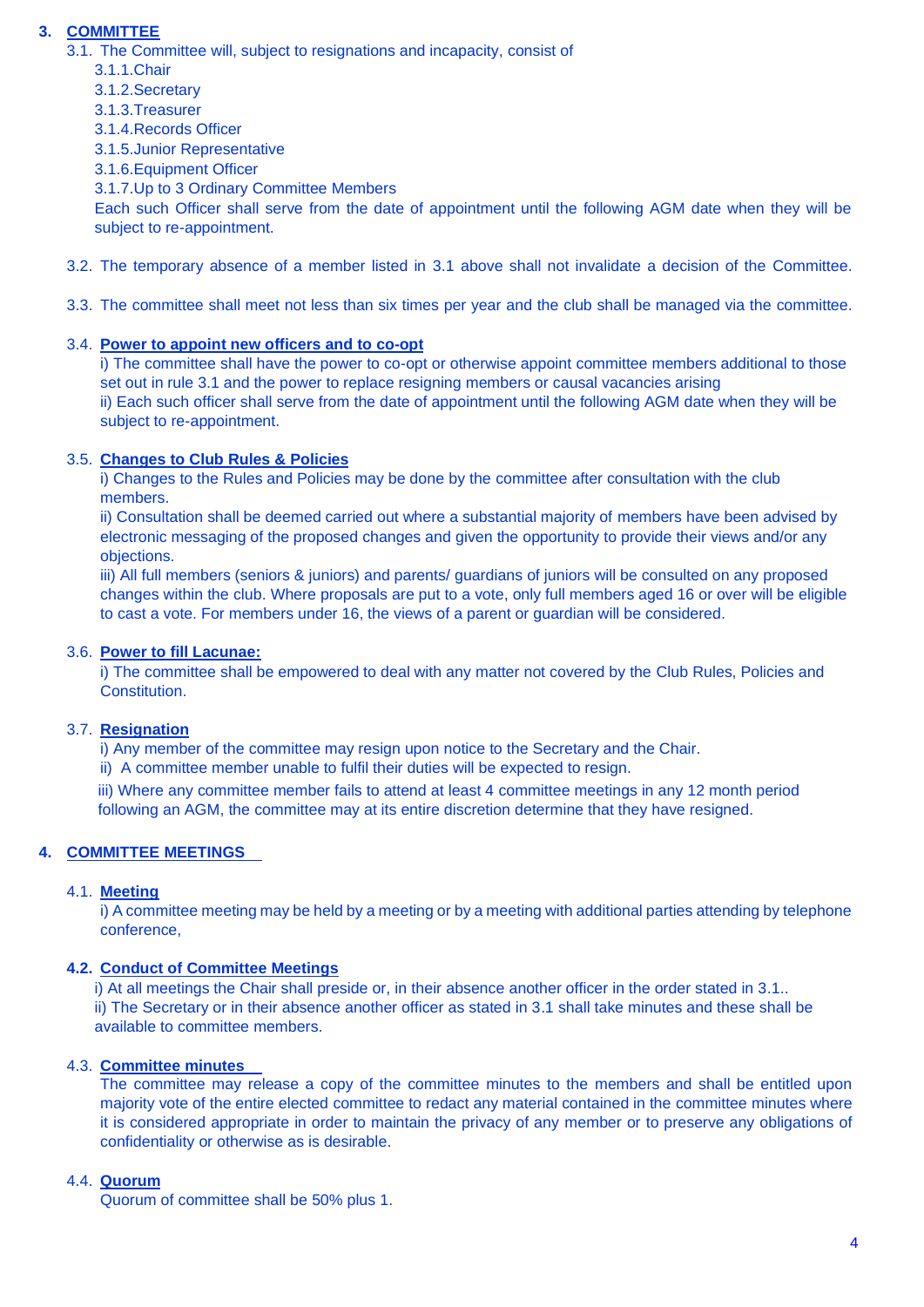# **3. COMMITTEE**

3.1. The Committee will, subject to resignations and incapacity, consist of

- 3.1.1.Chair
- 3.1.2.Secretary
- 3.1.3.Treasurer
- 3.1.4.Records Officer
- 3.1.5.Junior Representative
- 3.1.6.Equipment Officer

3.1.7.Up to 3 Ordinary Committee Members

Each such Officer shall serve from the date of appointment until the following AGM date when they will be subject to re-appointment.

- 3.2. The temporary absence of a member listed in 3.1 above shall not invalidate a decision of the Committee.
- 3.3. The committee shall meet not less than six times per year and the club shall be managed via the committee.

#### 3.4. **Power to appoint new officers and to co-opt**

i) The committee shall have the power to co-opt or otherwise appoint committee members additional to those set out in rule 3.1 and the power to replace resigning members or causal vacancies arising ii) Each such officer shall serve from the date of appointment until the following AGM date when they will be subject to re-appointment.

### 3.5. **Changes to Club Rules & Policies**

i) Changes to the Rules and Policies may be done by the committee after consultation with the club members.

ii) Consultation shall be deemed carried out where a substantial majority of members have been advised by electronic messaging of the proposed changes and given the opportunity to provide their views and/or any objections.

iii) All full members (seniors & juniors) and parents/ guardians of juniors will be consulted on any proposed changes within the club. Where proposals are put to a vote, only full members aged 16 or over will be eligible to cast a vote. For members under 16, the views of a parent or guardian will be considered.

#### 3.6. **Power to fill Lacunae:**

i) The committee shall be empowered to deal with any matter not covered by the Club Rules, Policies and **Constitution** 

#### 3.7. **Resignation**

i) Any member of the committee may resign upon notice to the Secretary and the Chair.

ii) A committee member unable to fulfil their duties will be expected to resign.

iii) Where any committee member fails to attend at least 4 committee meetings in any 12 month period following an AGM, the committee may at its entire discretion determine that they have resigned.

# **4. COMMITTEE MEETINGS**

#### 4.1. **Meeting**

i) A committee meeting may be held by a meeting or by a meeting with additional parties attending by telephone conference,

#### **4.2. Conduct of Committee Meetings**

i) At all meetings the Chair shall preside or, in their absence another officer in the order stated in 3.1.. ii) The Secretary or in their absence another officer as stated in 3.1 shall take minutes and these shall be available to committee members.

# 4.3. **Committee minutes**

The committee may release a copy of the committee minutes to the members and shall be entitled upon majority vote of the entire elected committee to redact any material contained in the committee minutes where it is considered appropriate in order to maintain the privacy of any member or to preserve any obligations of confidentiality or otherwise as is desirable.

#### 4.4. **Quorum**

Quorum of committee shall be 50% plus 1.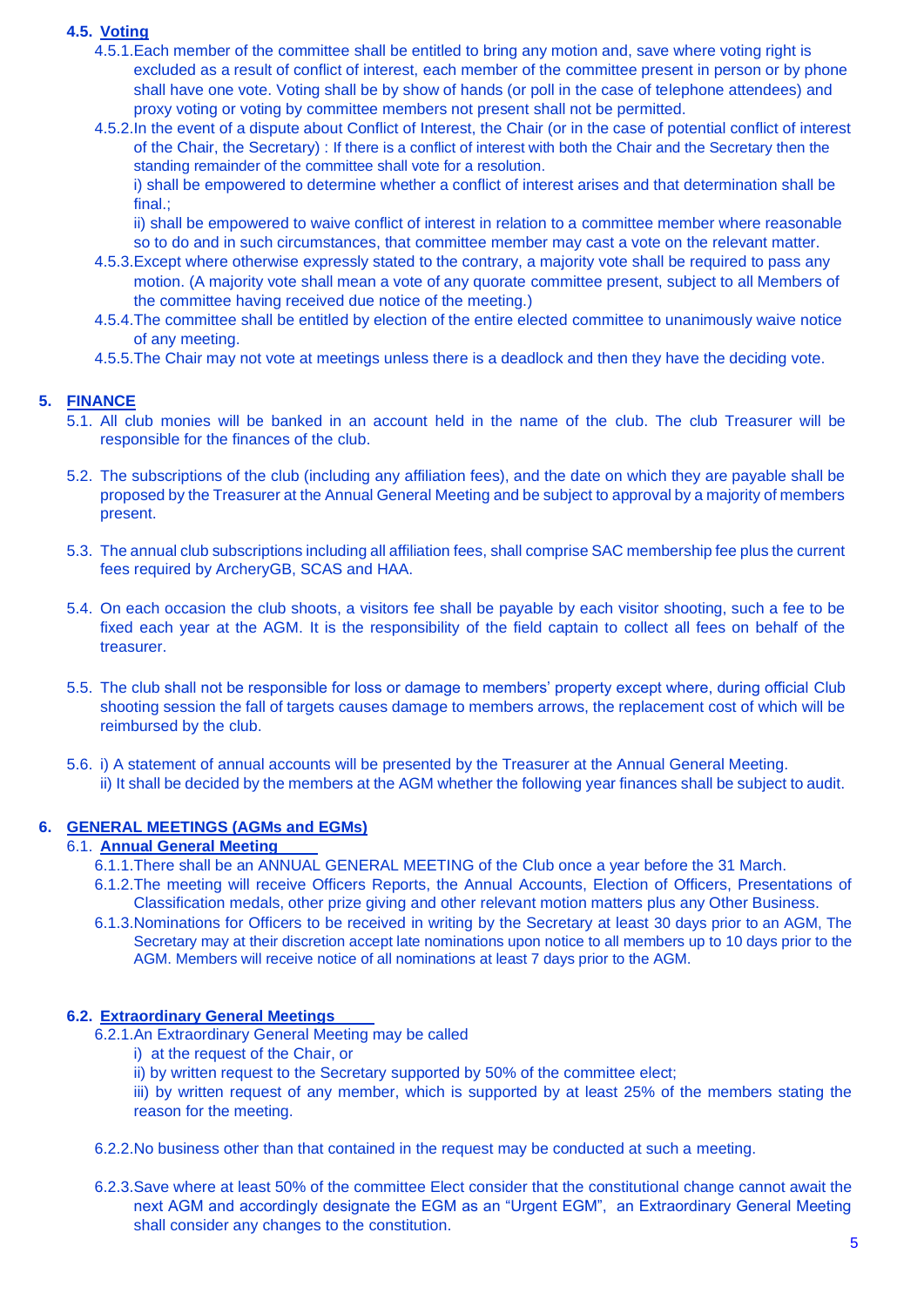#### **4.5. Voting**

- 4.5.1.Each member of the committee shall be entitled to bring any motion and, save where voting right is excluded as a result of conflict of interest, each member of the committee present in person or by phone shall have one vote. Voting shall be by show of hands (or poll in the case of telephone attendees) and proxy voting or voting by committee members not present shall not be permitted.
- 4.5.2.In the event of a dispute about Conflict of Interest, the Chair (or in the case of potential conflict of interest of the Chair, the Secretary) : If there is a conflict of interest with both the Chair and the Secretary then the standing remainder of the committee shall vote for a resolution. i) shall be empowered to determine whether a conflict of interest arises and that determination shall be

final.; ii) shall be empowered to waive conflict of interest in relation to a committee member where reasonable

- so to do and in such circumstances, that committee member may cast a vote on the relevant matter.
- 4.5.3.Except where otherwise expressly stated to the contrary, a majority vote shall be required to pass any motion. (A majority vote shall mean a vote of any quorate committee present, subject to all Members of the committee having received due notice of the meeting.)
- 4.5.4.The committee shall be entitled by election of the entire elected committee to unanimously waive notice of any meeting.
- 4.5.5.The Chair may not vote at meetings unless there is a deadlock and then they have the deciding vote.

#### **5. FINANCE**

- 5.1. All club monies will be banked in an account held in the name of the club. The club Treasurer will be responsible for the finances of the club.
- 5.2. The subscriptions of the club (including any affiliation fees), and the date on which they are payable shall be proposed by the Treasurer at the Annual General Meeting and be subject to approval by a majority of members present.
- 5.3. The annual club subscriptions including all affiliation fees, shall comprise SAC membership fee plus the current fees required by ArcheryGB, SCAS and HAA.
- 5.4. On each occasion the club shoots, a visitors fee shall be payable by each visitor shooting, such a fee to be fixed each year at the AGM. It is the responsibility of the field captain to collect all fees on behalf of the treasurer.
- 5.5. The club shall not be responsible for loss or damage to members' property except where, during official Club shooting session the fall of targets causes damage to members arrows, the replacement cost of which will be reimbursed by the club.
- 5.6. i) A statement of annual accounts will be presented by the Treasurer at the Annual General Meeting. ii) It shall be decided by the members at the AGM whether the following year finances shall be subject to audit.

# **6. GENERAL MEETINGS (AGMs and EGMs)**

#### 6.1. **Annual General Meeting**

- 6.1.1.There shall be an ANNUAL GENERAL MEETING of the Club once a year before the 31 March.
	- 6.1.2.The meeting will receive Officers Reports, the Annual Accounts, Election of Officers, Presentations of Classification medals, other prize giving and other relevant motion matters plus any Other Business.
	- 6.1.3.Nominations for Officers to be received in writing by the Secretary at least 30 days prior to an AGM, The Secretary may at their discretion accept late nominations upon notice to all members up to 10 days prior to the AGM. Members will receive notice of all nominations at least 7 days prior to the AGM.

#### **6.2. Extraordinary General Meetings**

- 6.2.1.An Extraordinary General Meeting may be called
	- i) at the request of the Chair, or
	- ii) by written request to the Secretary supported by 50% of the committee elect;

iii) by written request of any member, which is supported by at least 25% of the members stating the reason for the meeting.

- 6.2.2.No business other than that contained in the request may be conducted at such a meeting.
- 6.2.3.Save where at least 50% of the committee Elect consider that the constitutional change cannot await the next AGM and accordingly designate the EGM as an "Urgent EGM", an Extraordinary General Meeting shall consider any changes to the constitution.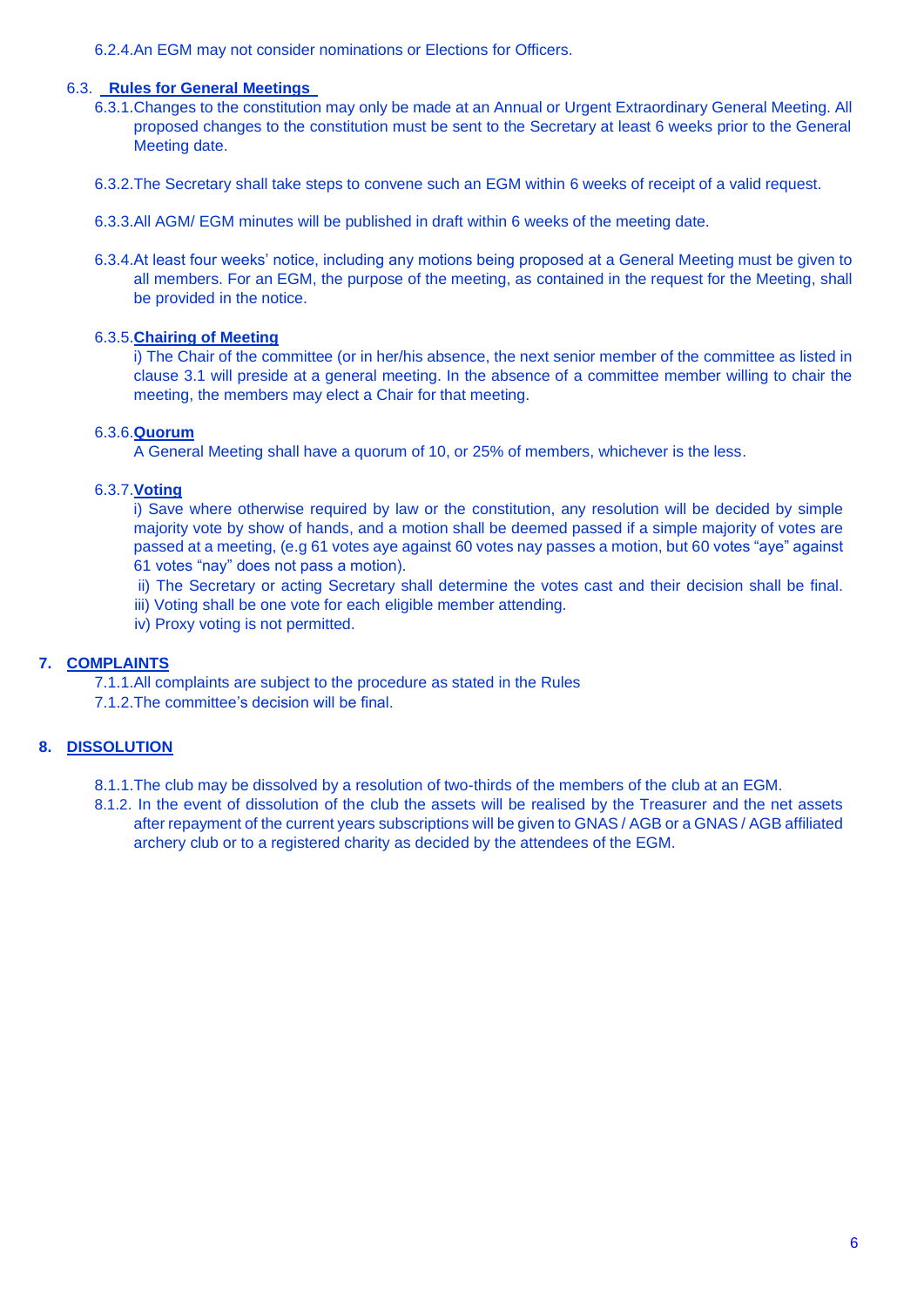6.2.4.An EGM may not consider nominations or Elections for Officers.

#### 6.3. **Rules for General Meetings**

- 6.3.1.Changes to the constitution may only be made at an Annual or Urgent Extraordinary General Meeting. All proposed changes to the constitution must be sent to the Secretary at least 6 weeks prior to the General Meeting date.
- 6.3.2.The Secretary shall take steps to convene such an EGM within 6 weeks of receipt of a valid request.
- 6.3.3.All AGM/ EGM minutes will be published in draft within 6 weeks of the meeting date.
- 6.3.4.At least four weeks' notice, including any motions being proposed at a General Meeting must be given to all members. For an EGM, the purpose of the meeting, as contained in the request for the Meeting, shall be provided in the notice.

#### 6.3.5.**Chairing of Meeting**

i) The Chair of the committee (or in her/his absence, the next senior member of the committee as listed in clause 3.1 will preside at a general meeting. In the absence of a committee member willing to chair the meeting, the members may elect a Chair for that meeting.

## 6.3.6.**Quorum**

A General Meeting shall have a quorum of 10, or 25% of members, whichever is the less.

#### 6.3.7.**Voting**

i) Save where otherwise required by law or the constitution, any resolution will be decided by simple majority vote by show of hands, and a motion shall be deemed passed if a simple majority of votes are passed at a meeting, (e.g 61 votes aye against 60 votes nay passes a motion, but 60 votes "aye" against 61 votes "nay" does not pass a motion).

- ii) The Secretary or acting Secretary shall determine the votes cast and their decision shall be final.
- iii) Voting shall be one vote for each eligible member attending.
- iv) Proxy voting is not permitted.

# **7. COMPLAINTS**

- 7.1.1.All complaints are subject to the procedure as stated in the Rules
- 7.1.2.The committee's decision will be final.

# **8. DISSOLUTION**

- 8.1.1.The club may be dissolved by a resolution of two-thirds of the members of the club at an EGM.
- 8.1.2. In the event of dissolution of the club the assets will be realised by the Treasurer and the net assets after repayment of the current years subscriptions will be given to GNAS / AGB or a GNAS / AGB affiliated archery club or to a registered charity as decided by the attendees of the EGM.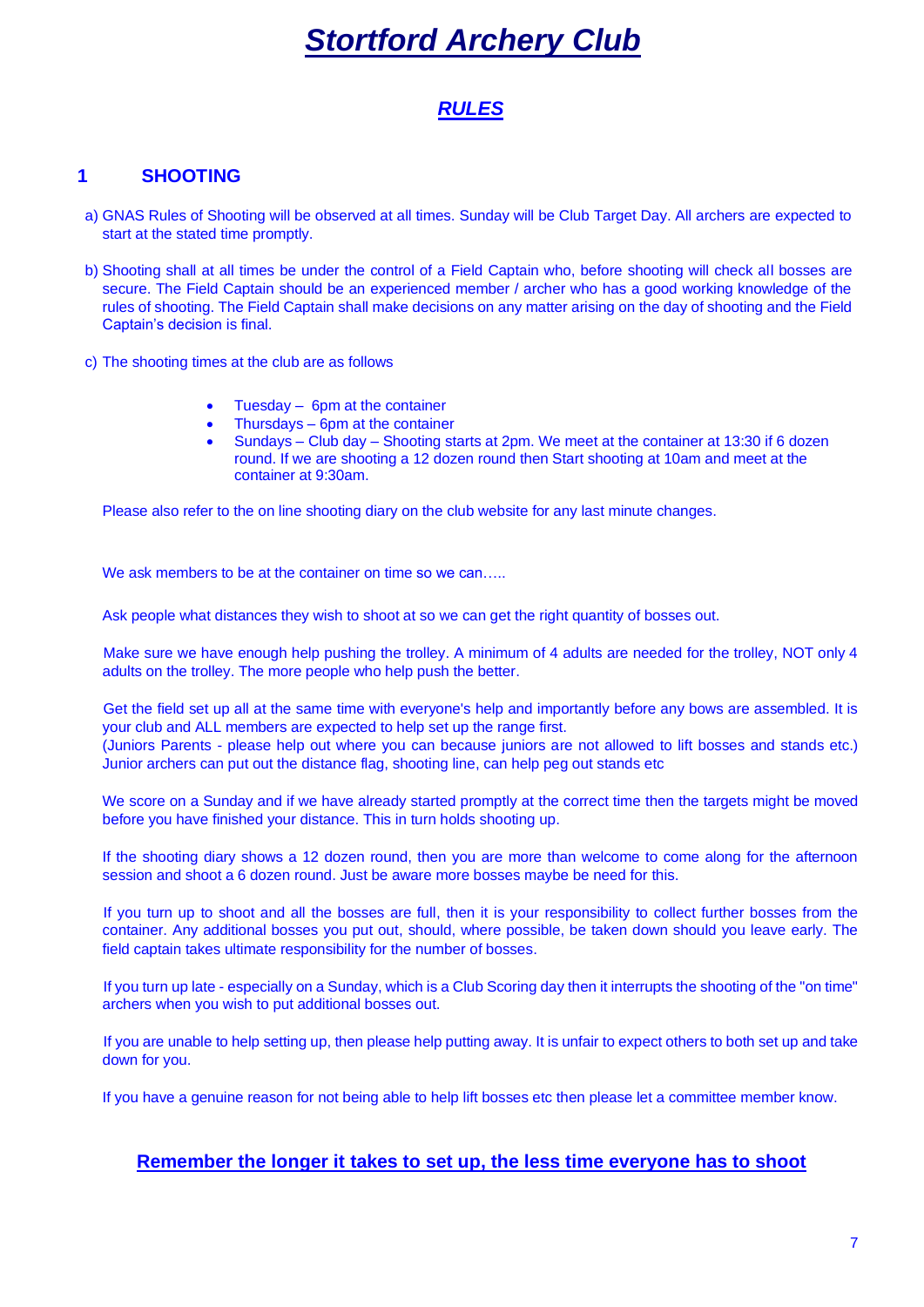# *Stortford Archery Club*

# *RULES*

# **1 SHOOTING**

- a) GNAS Rules of Shooting will be observed at all times. Sunday will be Club Target Day. All archers are expected to start at the stated time promptly.
- b) Shooting shall at all times be under the control of a Field Captain who, before shooting will check all bosses are secure. The Field Captain should be an experienced member / archer who has a good working knowledge of the rules of shooting. The Field Captain shall make decisions on any matter arising on the day of shooting and the Field Captain's decision is final.
- c) The shooting times at the club are as follows
	- Tuesday 6pm at the container
	- Thursdays 6pm at the container
	- Sundays Club day Shooting starts at 2pm. We meet at the container at 13:30 if 6 dozen round. If we are shooting a 12 dozen round then Start shooting at 10am and meet at the container at 9:30am.

Please also refer to the on line shooting diary on the club website for any last minute changes.

We ask members to be at the container on time so we can

Ask people what distances they wish to shoot at so we can get the right quantity of bosses out.

Make sure we have enough help pushing the trolley. A minimum of 4 adults are needed for the trolley, NOT only 4 adults on the trolley. The more people who help push the better.

Get the field set up all at the same time with everyone's help and importantly before any bows are assembled. It is your club and ALL members are expected to help set up the range first.

(Juniors Parents - please help out where you can because juniors are not allowed to lift bosses and stands etc.) Junior archers can put out the distance flag, shooting line, can help peg out stands etc

We score on a Sunday and if we have already started promptly at the correct time then the targets might be moved before you have finished your distance. This in turn holds shooting up.

If the shooting diary shows a 12 dozen round, then you are more than welcome to come along for the afternoon session and shoot a 6 dozen round. Just be aware more bosses maybe be need for this.

If you turn up to shoot and all the bosses are full, then it is your responsibility to collect further bosses from the container. Any additional bosses you put out, should, where possible, be taken down should you leave early. The field captain takes ultimate responsibility for the number of bosses.

If you turn up late - especially on a Sunday, which is a Club Scoring day then it interrupts the shooting of the "on time" archers when you wish to put additional bosses out.

If you are unable to help setting up, then please help putting away. It is unfair to expect others to both set up and take down for you.

If you have a genuine reason for not being able to help lift bosses etc then please let a committee member know.

# **Remember the longer it takes to set up, the less time everyone has to shoot**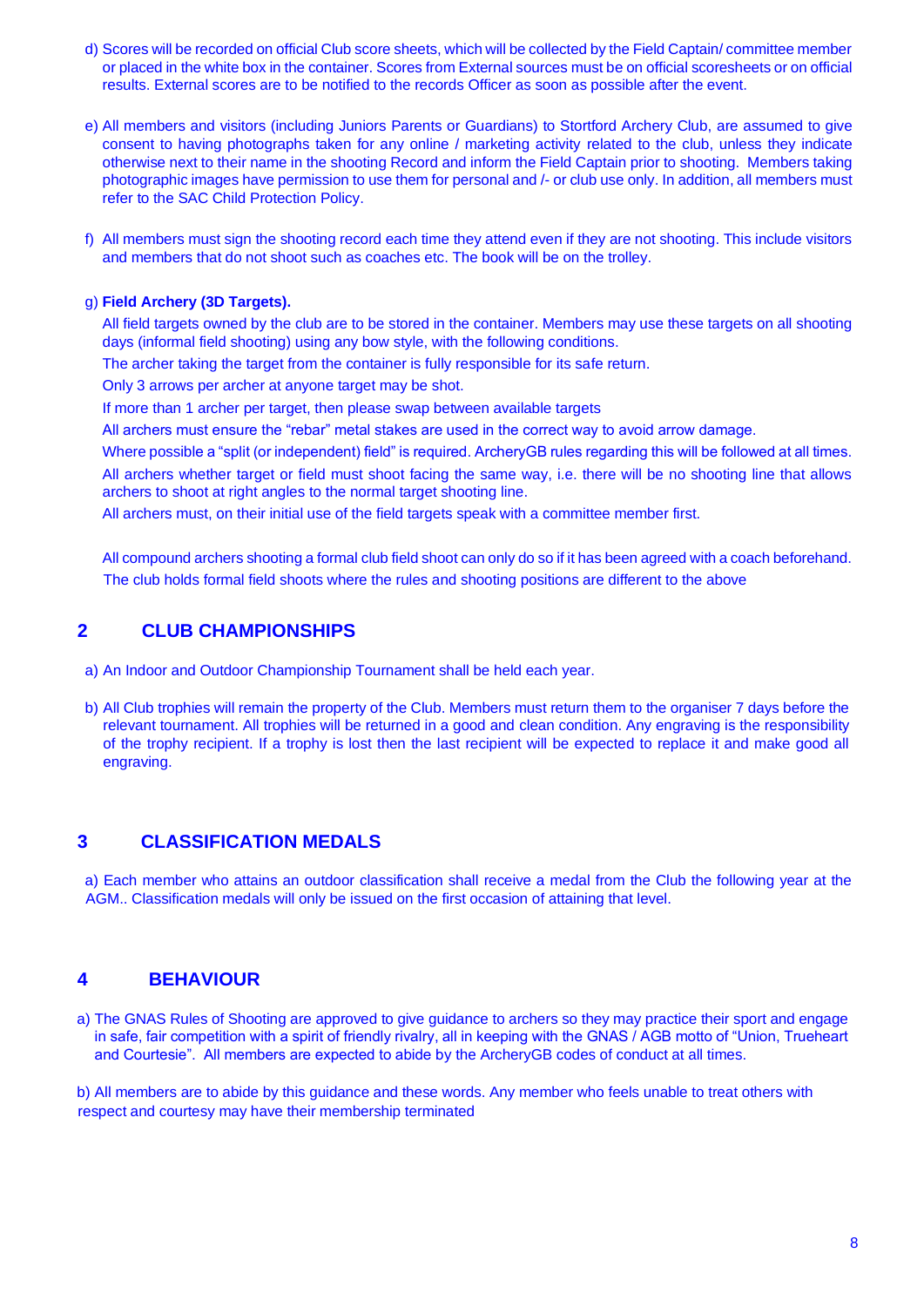- d) Scores will be recorded on official Club score sheets, which will be collected by the Field Captain/ committee member or placed in the white box in the container. Scores from External sources must be on official scoresheets or on official results. External scores are to be notified to the records Officer as soon as possible after the event.
- e) All members and visitors (including Juniors Parents or Guardians) to Stortford Archery Club, are assumed to give consent to having photographs taken for any online / marketing activity related to the club, unless they indicate otherwise next to their name in the shooting Record and inform the Field Captain prior to shooting. Members taking photographic images have permission to use them for personal and /- or club use only. In addition, all members must refer to the SAC Child Protection Policy.
- f) All members must sign the shooting record each time they attend even if they are not shooting. This include visitors and members that do not shoot such as coaches etc. The book will be on the trolley.

#### g) **Field Archery (3D Targets).**

All field targets owned by the club are to be stored in the container. Members may use these targets on all shooting days (informal field shooting) using any bow style, with the following conditions.

The archer taking the target from the container is fully responsible for its safe return.

Only 3 arrows per archer at anyone target may be shot.

If more than 1 archer per target, then please swap between available targets

All archers must ensure the "rebar" metal stakes are used in the correct way to avoid arrow damage.

Where possible a "split (or independent) field" is required. ArcheryGB rules regarding this will be followed at all times. All archers whether target or field must shoot facing the same way, i.e. there will be no shooting line that allows archers to shoot at right angles to the normal target shooting line.

All archers must, on their initial use of the field targets speak with a committee member first.

All compound archers shooting a formal club field shoot can only do so if it has been agreed with a coach beforehand. The club holds formal field shoots where the rules and shooting positions are different to the above

#### **2 CLUB CHAMPIONSHIPS**

- a) An Indoor and Outdoor Championship Tournament shall be held each year.
- b) All Club trophies will remain the property of the Club. Members must return them to the organiser 7 days before the relevant tournament. All trophies will be returned in a good and clean condition. Any engraving is the responsibility of the trophy recipient. If a trophy is lost then the last recipient will be expected to replace it and make good all engraving.

# **3 CLASSIFICATION MEDALS**

a) Each member who attains an outdoor classification shall receive a medal from the Club the following year at the AGM.. Classification medals will only be issued on the first occasion of attaining that level.

# **4 BEHAVIOUR**

a) The GNAS Rules of Shooting are approved to give guidance to archers so they may practice their sport and engage in safe, fair competition with a spirit of friendly rivalry, all in keeping with the GNAS / AGB motto of "Union, Trueheart and Courtesie". All members are expected to abide by the ArcheryGB codes of conduct at all times.

b) All members are to abide by this guidance and these words. Any member who feels unable to treat others with respect and courtesy may have their membership terminated